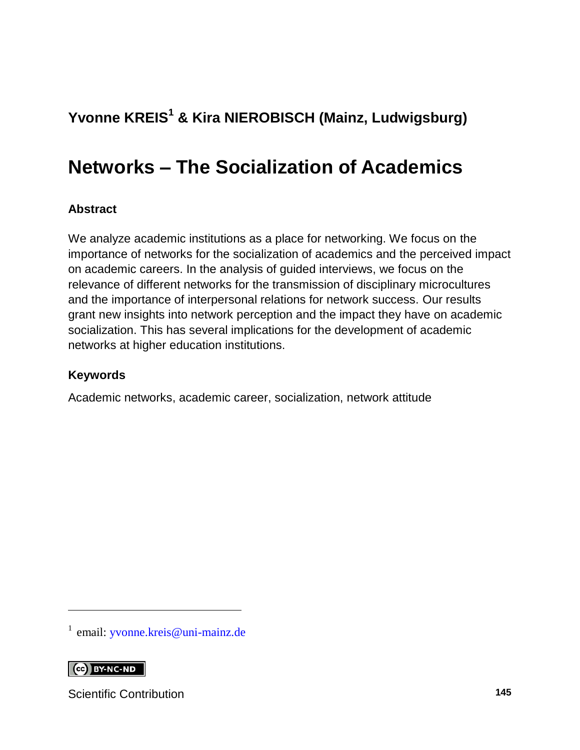### **Yvonne KREIS<sup>1</sup> & Kira NIEROBISCH (Mainz, Ludwigsburg)**

## **Networks – The Socialization of Academics**

#### **Abstract**

We analyze academic institutions as a place for networking. We focus on the importance of networks for the socialization of academics and the perceived impact on academic careers. In the analysis of guided interviews, we focus on the relevance of different networks for the transmission of disciplinary microcultures and the importance of interpersonal relations for network success. Our results grant new insights into network perception and the impact they have on academic socialization. This has several implications for the development of academic networks at higher education institutions.

#### **Keywords**

Academic networks, academic career, socialization, network attitude

<sup>1</sup> email: [yvonne.kreis@uni-mainz.de](mailto:yvonne.kreis@uni-mainz.de)

CC BY-NC-ND

l

Scientific Contribution **145**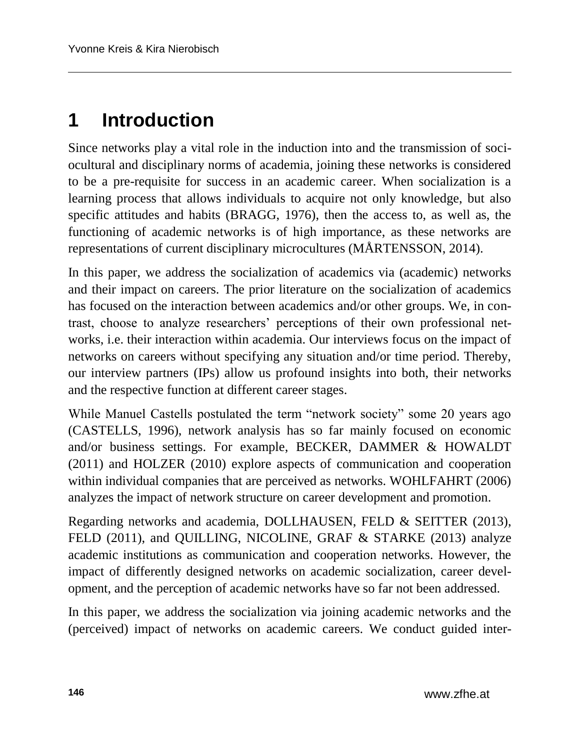## **1 Introduction**

Since networks play a vital role in the induction into and the transmission of sociocultural and disciplinary norms of academia, joining these networks is considered to be a pre-requisite for success in an academic career. When socialization is a learning process that allows individuals to acquire not only knowledge, but also specific attitudes and habits (BRAGG, 1976), then the access to, as well as, the functioning of academic networks is of high importance, as these networks are representations of current disciplinary microcultures (MÅRTENSSON, 2014).

In this paper, we address the socialization of academics via (academic) networks and their impact on careers. The prior literature on the socialization of academics has focused on the interaction between academics and/or other groups. We, in contrast, choose to analyze researchers' perceptions of their own professional networks, i.e. their interaction within academia. Our interviews focus on the impact of networks on careers without specifying any situation and/or time period. Thereby, our interview partners (IPs) allow us profound insights into both, their networks and the respective function at different career stages.

While Manuel Castells postulated the term "network society" some 20 years ago (CASTELLS, 1996), network analysis has so far mainly focused on economic and/or business settings. For example, BECKER, DAMMER & HOWALDT (2011) and HOLZER (2010) explore aspects of communication and cooperation within individual companies that are perceived as networks. WOHLFAHRT (2006) analyzes the impact of network structure on career development and promotion.

Regarding networks and academia, DOLLHAUSEN, FELD & SEITTER (2013), FELD (2011), and QUILLING, NICOLINE, GRAF & STARKE (2013) analyze academic institutions as communication and cooperation networks. However, the impact of differently designed networks on academic socialization, career development, and the perception of academic networks have so far not been addressed.

In this paper, we address the socialization via joining academic networks and the (perceived) impact of networks on academic careers. We conduct guided inter-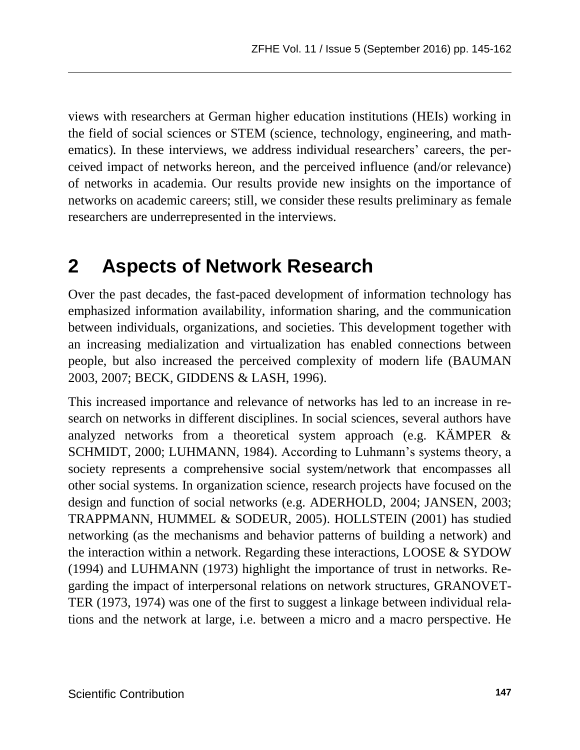views with researchers at German higher education institutions (HEIs) working in the field of social sciences or STEM (science, technology, engineering, and mathematics). In these interviews, we address individual researchers' careers, the perceived impact of networks hereon, and the perceived influence (and/or relevance) of networks in academia. Our results provide new insights on the importance of networks on academic careers; still, we consider these results preliminary as female researchers are underrepresented in the interviews.

## **2 Aspects of Network Research**

Over the past decades, the fast-paced development of information technology has emphasized information availability, information sharing, and the communication between individuals, organizations, and societies. This development together with an increasing medialization and virtualization has enabled connections between people, but also increased the perceived complexity of modern life (BAUMAN 2003, 2007; BECK, GIDDENS & LASH, 1996).

This increased importance and relevance of networks has led to an increase in research on networks in different disciplines. In social sciences, several authors have analyzed networks from a theoretical system approach (e.g. KÄMPER & SCHMIDT, 2000; LUHMANN, 1984). According to Luhmann's systems theory, a society represents a comprehensive social system/network that encompasses all other social systems. In organization science, research projects have focused on the design and function of social networks (e.g. ADERHOLD, 2004; JANSEN, 2003; TRAPPMANN, HUMMEL & SODEUR, 2005). HOLLSTEIN (2001) has studied networking (as the mechanisms and behavior patterns of building a network) and the interaction within a network. Regarding these interactions, LOOSE & SYDOW (1994) and LUHMANN (1973) highlight the importance of trust in networks. Regarding the impact of interpersonal relations on network structures, GRANOVET-TER (1973, 1974) was one of the first to suggest a linkage between individual relations and the network at large, i.e. between a micro and a macro perspective. He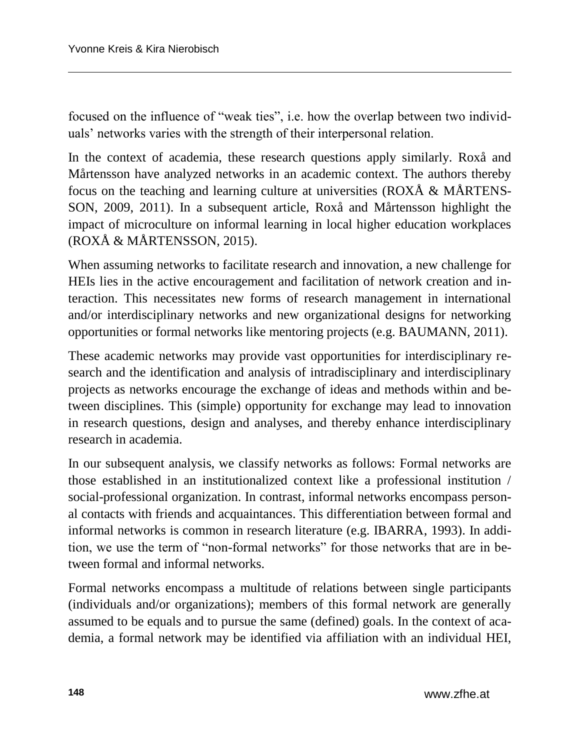focused on the influence of "weak ties", i.e. how the overlap between two individuals' networks varies with the strength of their interpersonal relation.

In the context of academia, these research questions apply similarly. Roxå and Mårtensson have analyzed networks in an academic context. The authors thereby focus on the teaching and learning culture at universities (ROXÅ & MÅRTENS-SON, 2009, 2011). In a subsequent article, Roxå and Mårtensson highlight the impact of microculture on informal learning in local higher education workplaces (ROXÅ & MÅRTENSSON, 2015).

When assuming networks to facilitate research and innovation, a new challenge for HEIs lies in the active encouragement and facilitation of network creation and interaction. This necessitates new forms of research management in international and/or interdisciplinary networks and new organizational designs for networking opportunities or formal networks like mentoring projects (e.g. BAUMANN, 2011).

These academic networks may provide vast opportunities for interdisciplinary research and the identification and analysis of intradisciplinary and interdisciplinary projects as networks encourage the exchange of ideas and methods within and between disciplines. This (simple) opportunity for exchange may lead to innovation in research questions, design and analyses, and thereby enhance interdisciplinary research in academia.

In our subsequent analysis, we classify networks as follows: Formal networks are those established in an institutionalized context like a professional institution / social-professional organization. In contrast, informal networks encompass personal contacts with friends and acquaintances. This differentiation between formal and informal networks is common in research literature (e.g. IBARRA, 1993). In addition, we use the term of "non-formal networks" for those networks that are in between formal and informal networks.

Formal networks encompass a multitude of relations between single participants (individuals and/or organizations); members of this formal network are generally assumed to be equals and to pursue the same (defined) goals. In the context of academia, a formal network may be identified via affiliation with an individual HEI,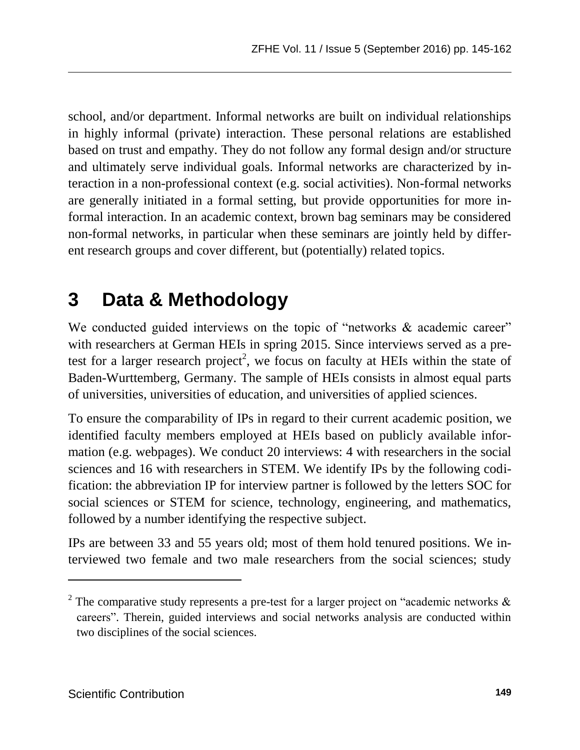school, and/or department. Informal networks are built on individual relationships in highly informal (private) interaction. These personal relations are established based on trust and empathy. They do not follow any formal design and/or structure and ultimately serve individual goals. Informal networks are characterized by interaction in a non-professional context (e.g. social activities). Non-formal networks are generally initiated in a formal setting, but provide opportunities for more informal interaction. In an academic context, brown bag seminars may be considered non-formal networks, in particular when these seminars are jointly held by different research groups and cover different, but (potentially) related topics.

### **3 Data & Methodology**

We conducted guided interviews on the topic of "networks & academic career" with researchers at German HEIs in spring 2015. Since interviews served as a pretest for a larger research project<sup>2</sup>, we focus on faculty at HEIs within the state of Baden-Wurttemberg, Germany. The sample of HEIs consists in almost equal parts of universities, universities of education, and universities of applied sciences.

To ensure the comparability of IPs in regard to their current academic position, we identified faculty members employed at HEIs based on publicly available information (e.g. webpages). We conduct 20 interviews: 4 with researchers in the social sciences and 16 with researchers in STEM. We identify IPs by the following codification: the abbreviation IP for interview partner is followed by the letters SOC for social sciences or STEM for science, technology, engineering, and mathematics, followed by a number identifying the respective subject.

IPs are between 33 and 55 years old; most of them hold tenured positions. We interviewed two female and two male researchers from the social sciences; study

l

<sup>&</sup>lt;sup>2</sup> The comparative study represents a pre-test for a larger project on "academic networks  $\&$ careers". Therein, guided interviews and social networks analysis are conducted within two disciplines of the social sciences.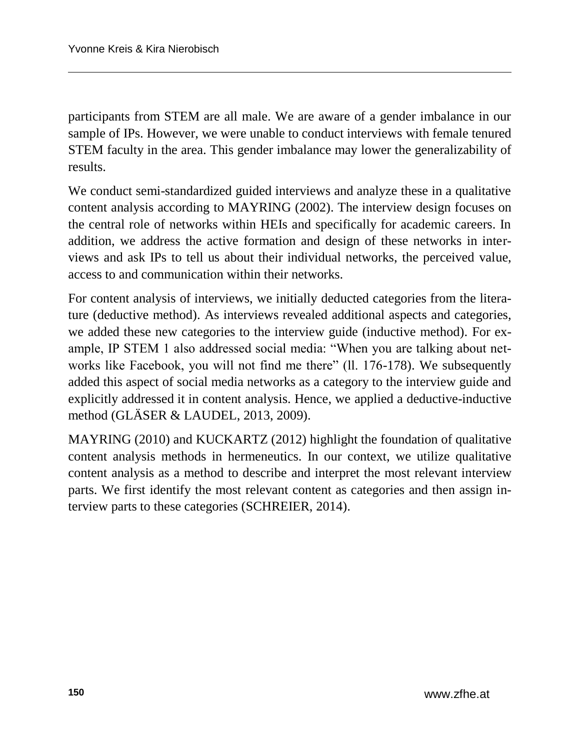participants from STEM are all male. We are aware of a gender imbalance in our sample of IPs. However, we were unable to conduct interviews with female tenured STEM faculty in the area. This gender imbalance may lower the generalizability of results.

We conduct semi-standardized guided interviews and analyze these in a qualitative content analysis according to MAYRING (2002). The interview design focuses on the central role of networks within HEIs and specifically for academic careers. In addition, we address the active formation and design of these networks in interviews and ask IPs to tell us about their individual networks, the perceived value, access to and communication within their networks.

For content analysis of interviews, we initially deducted categories from the literature (deductive method). As interviews revealed additional aspects and categories, we added these new categories to the interview guide (inductive method). For example, IP STEM 1 also addressed social media: "When you are talking about networks like Facebook, you will not find me there" (ll. 176-178). We subsequently added this aspect of social media networks as a category to the interview guide and explicitly addressed it in content analysis. Hence, we applied a deductive-inductive method (GLÄSER & LAUDEL, 2013, 2009).

MAYRING (2010) and KUCKARTZ (2012) highlight the foundation of qualitative content analysis methods in hermeneutics. In our context, we utilize qualitative content analysis as a method to describe and interpret the most relevant interview parts. We first identify the most relevant content as categories and then assign interview parts to these categories (SCHREIER, 2014).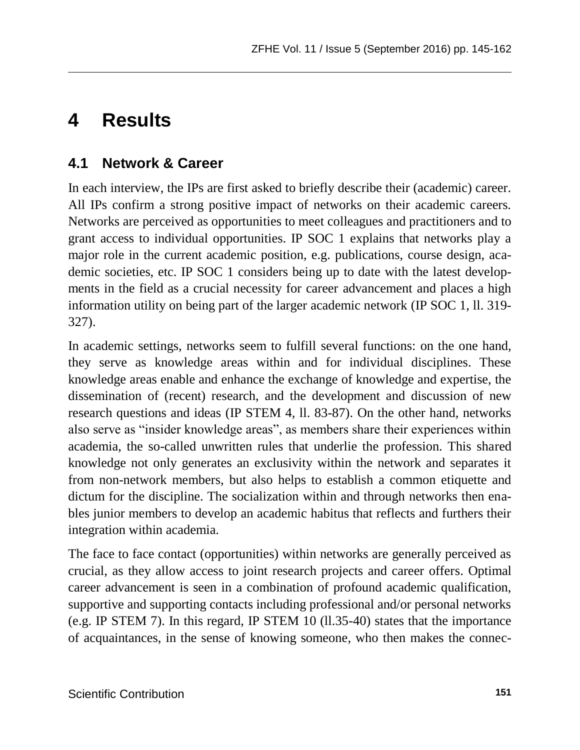### **4 Results**

### **4.1 Network & Career**

In each interview, the IPs are first asked to briefly describe their (academic) career. All IPs confirm a strong positive impact of networks on their academic careers. Networks are perceived as opportunities to meet colleagues and practitioners and to grant access to individual opportunities. IP SOC 1 explains that networks play a major role in the current academic position, e.g. publications, course design, academic societies, etc. IP SOC 1 considers being up to date with the latest developments in the field as a crucial necessity for career advancement and places a high information utility on being part of the larger academic network (IP SOC 1, ll. 319- 327).

In academic settings, networks seem to fulfill several functions: on the one hand, they serve as knowledge areas within and for individual disciplines. These knowledge areas enable and enhance the exchange of knowledge and expertise, the dissemination of (recent) research, and the development and discussion of new research questions and ideas (IP STEM 4, ll. 83-87). On the other hand, networks also serve as "insider knowledge areas", as members share their experiences within academia, the so-called unwritten rules that underlie the profession. This shared knowledge not only generates an exclusivity within the network and separates it from non-network members, but also helps to establish a common etiquette and dictum for the discipline. The socialization within and through networks then enables junior members to develop an academic habitus that reflects and furthers their integration within academia.

The face to face contact (opportunities) within networks are generally perceived as crucial, as they allow access to joint research projects and career offers. Optimal career advancement is seen in a combination of profound academic qualification, supportive and supporting contacts including professional and/or personal networks (e.g. IP STEM 7). In this regard, IP STEM 10 (ll.35-40) states that the importance of acquaintances, in the sense of knowing someone, who then makes the connec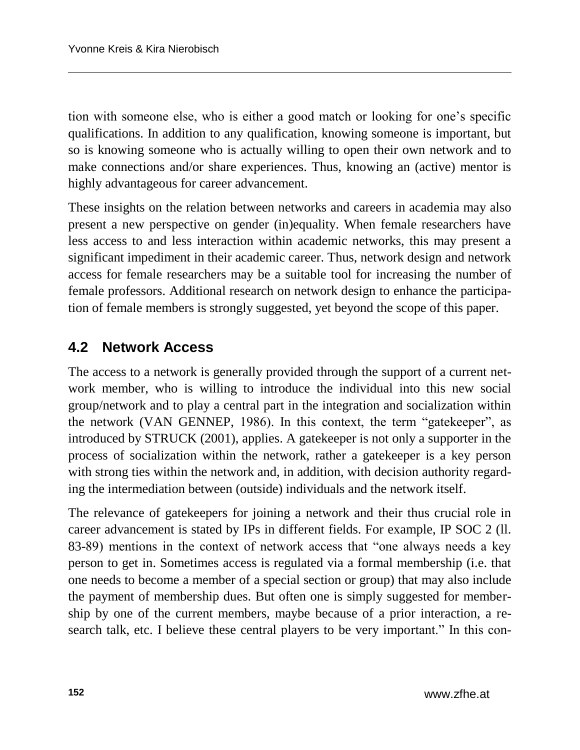tion with someone else, who is either a good match or looking for one's specific qualifications. In addition to any qualification, knowing someone is important, but so is knowing someone who is actually willing to open their own network and to make connections and/or share experiences. Thus, knowing an (active) mentor is highly advantageous for career advancement.

These insights on the relation between networks and careers in academia may also present a new perspective on gender (in)equality. When female researchers have less access to and less interaction within academic networks, this may present a significant impediment in their academic career. Thus, network design and network access for female researchers may be a suitable tool for increasing the number of female professors. Additional research on network design to enhance the participation of female members is strongly suggested, yet beyond the scope of this paper.

#### **4.2 Network Access**

The access to a network is generally provided through the support of a current network member, who is willing to introduce the individual into this new social group/network and to play a central part in the integration and socialization within the network (VAN GENNEP, 1986). In this context, the term "gatekeeper", as introduced by STRUCK (2001), applies. A gatekeeper is not only a supporter in the process of socialization within the network, rather a gatekeeper is a key person with strong ties within the network and, in addition, with decision authority regarding the intermediation between (outside) individuals and the network itself.

The relevance of gatekeepers for joining a network and their thus crucial role in career advancement is stated by IPs in different fields. For example, IP SOC 2 (ll. 83-89) mentions in the context of network access that "one always needs a key person to get in. Sometimes access is regulated via a formal membership (i.e. that one needs to become a member of a special section or group) that may also include the payment of membership dues. But often one is simply suggested for membership by one of the current members, maybe because of a prior interaction, a research talk, etc. I believe these central players to be very important." In this con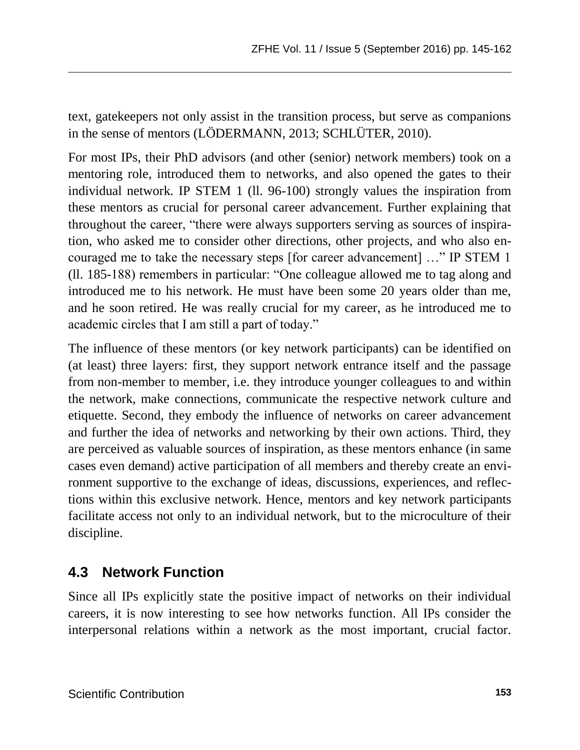text, gatekeepers not only assist in the transition process, but serve as companions in the sense of mentors (LÖDERMANN, 2013; SCHLÜTER, 2010).

For most IPs, their PhD advisors (and other (senior) network members) took on a mentoring role, introduced them to networks, and also opened the gates to their individual network. IP STEM 1 (ll. 96-100) strongly values the inspiration from these mentors as crucial for personal career advancement. Further explaining that throughout the career, "there were always supporters serving as sources of inspiration, who asked me to consider other directions, other projects, and who also encouraged me to take the necessary steps [for career advancement] …" IP STEM 1 (ll. 185-188) remembers in particular: "One colleague allowed me to tag along and introduced me to his network. He must have been some 20 years older than me, and he soon retired. He was really crucial for my career, as he introduced me to academic circles that I am still a part of today."

The influence of these mentors (or key network participants) can be identified on (at least) three layers: first, they support network entrance itself and the passage from non-member to member, i.e. they introduce younger colleagues to and within the network, make connections, communicate the respective network culture and etiquette. Second, they embody the influence of networks on career advancement and further the idea of networks and networking by their own actions. Third, they are perceived as valuable sources of inspiration, as these mentors enhance (in same cases even demand) active participation of all members and thereby create an environment supportive to the exchange of ideas, discussions, experiences, and reflections within this exclusive network. Hence, mentors and key network participants facilitate access not only to an individual network, but to the microculture of their discipline.

#### **4.3 Network Function**

Since all IPs explicitly state the positive impact of networks on their individual careers, it is now interesting to see how networks function. All IPs consider the interpersonal relations within a network as the most important, crucial factor.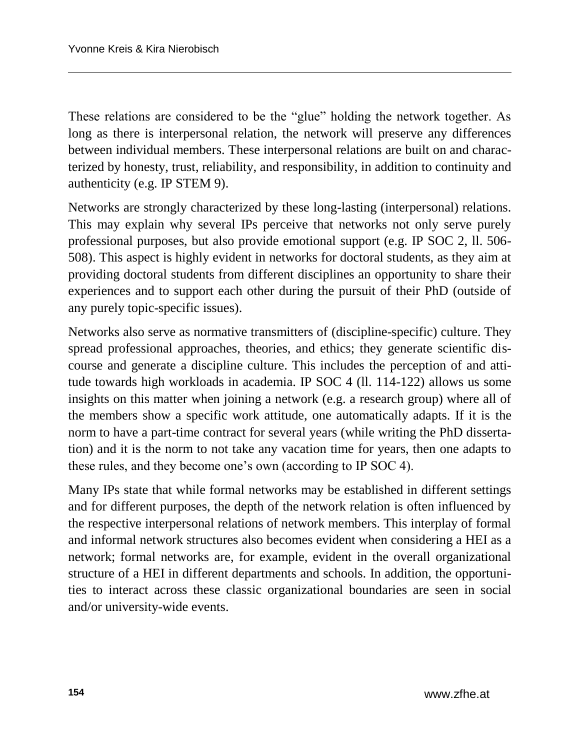These relations are considered to be the "glue" holding the network together. As long as there is interpersonal relation, the network will preserve any differences between individual members. These interpersonal relations are built on and characterized by honesty, trust, reliability, and responsibility, in addition to continuity and authenticity (e.g. IP STEM 9).

Networks are strongly characterized by these long-lasting (interpersonal) relations. This may explain why several IPs perceive that networks not only serve purely professional purposes, but also provide emotional support (e.g. IP SOC 2, ll. 506- 508). This aspect is highly evident in networks for doctoral students, as they aim at providing doctoral students from different disciplines an opportunity to share their experiences and to support each other during the pursuit of their PhD (outside of any purely topic-specific issues).

Networks also serve as normative transmitters of (discipline-specific) culture. They spread professional approaches, theories, and ethics; they generate scientific discourse and generate a discipline culture. This includes the perception of and attitude towards high workloads in academia. IP SOC 4 (ll. 114-122) allows us some insights on this matter when joining a network (e.g. a research group) where all of the members show a specific work attitude, one automatically adapts. If it is the norm to have a part-time contract for several years (while writing the PhD dissertation) and it is the norm to not take any vacation time for years, then one adapts to these rules, and they become one's own (according to IP SOC 4).

Many IPs state that while formal networks may be established in different settings and for different purposes, the depth of the network relation is often influenced by the respective interpersonal relations of network members. This interplay of formal and informal network structures also becomes evident when considering a HEI as a network; formal networks are, for example, evident in the overall organizational structure of a HEI in different departments and schools. In addition, the opportunities to interact across these classic organizational boundaries are seen in social and/or university-wide events.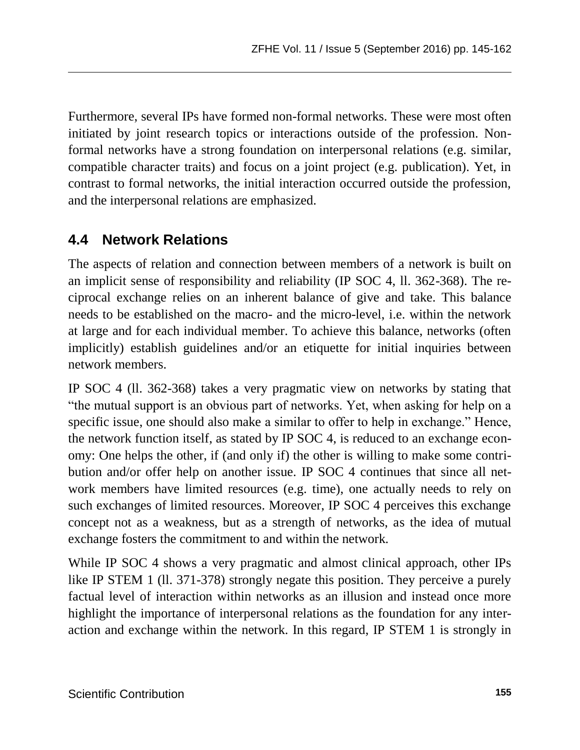Furthermore, several IPs have formed non-formal networks. These were most often initiated by joint research topics or interactions outside of the profession. Nonformal networks have a strong foundation on interpersonal relations (e.g. similar, compatible character traits) and focus on a joint project (e.g. publication). Yet, in contrast to formal networks, the initial interaction occurred outside the profession, and the interpersonal relations are emphasized.

### **4.4 Network Relations**

The aspects of relation and connection between members of a network is built on an implicit sense of responsibility and reliability (IP SOC 4, ll. 362-368). The reciprocal exchange relies on an inherent balance of give and take. This balance needs to be established on the macro- and the micro-level, i.e. within the network at large and for each individual member. To achieve this balance, networks (often implicitly) establish guidelines and/or an etiquette for initial inquiries between network members.

IP SOC 4 (ll. 362-368) takes a very pragmatic view on networks by stating that "the mutual support is an obvious part of networks. Yet, when asking for help on a specific issue, one should also make a similar to offer to help in exchange." Hence, the network function itself, as stated by IP SOC 4, is reduced to an exchange economy: One helps the other, if (and only if) the other is willing to make some contribution and/or offer help on another issue. IP SOC 4 continues that since all network members have limited resources (e.g. time), one actually needs to rely on such exchanges of limited resources. Moreover, IP SOC 4 perceives this exchange concept not as a weakness, but as a strength of networks, as the idea of mutual exchange fosters the commitment to and within the network.

While IP SOC 4 shows a very pragmatic and almost clinical approach, other IPs like IP STEM 1 (ll. 371-378) strongly negate this position. They perceive a purely factual level of interaction within networks as an illusion and instead once more highlight the importance of interpersonal relations as the foundation for any interaction and exchange within the network. In this regard, IP STEM 1 is strongly in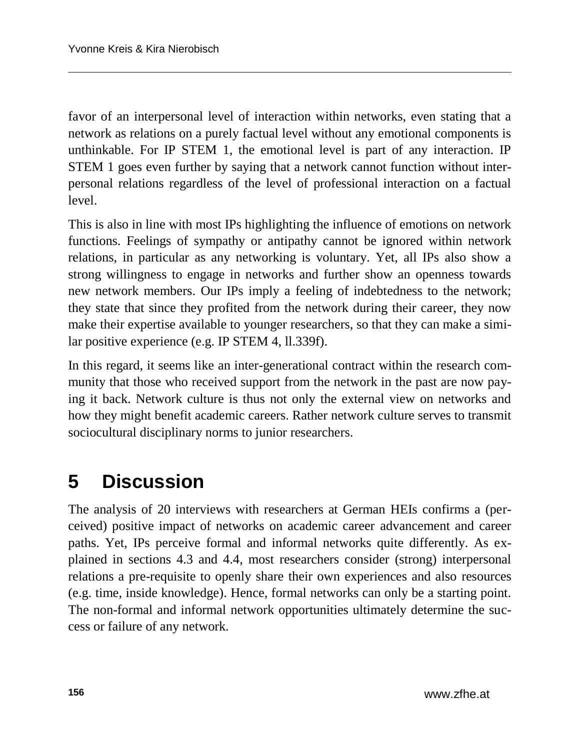favor of an interpersonal level of interaction within networks, even stating that a network as relations on a purely factual level without any emotional components is unthinkable. For IP STEM 1, the emotional level is part of any interaction. IP STEM 1 goes even further by saying that a network cannot function without interpersonal relations regardless of the level of professional interaction on a factual level.

This is also in line with most IPs highlighting the influence of emotions on network functions. Feelings of sympathy or antipathy cannot be ignored within network relations, in particular as any networking is voluntary. Yet, all IPs also show a strong willingness to engage in networks and further show an openness towards new network members. Our IPs imply a feeling of indebtedness to the network; they state that since they profited from the network during their career, they now make their expertise available to younger researchers, so that they can make a similar positive experience (e.g. IP STEM 4, ll.339f).

In this regard, it seems like an inter-generational contract within the research community that those who received support from the network in the past are now paying it back. Network culture is thus not only the external view on networks and how they might benefit academic careers. Rather network culture serves to transmit sociocultural disciplinary norms to junior researchers.

### **5 Discussion**

The analysis of 20 interviews with researchers at German HEIs confirms a (perceived) positive impact of networks on academic career advancement and career paths. Yet, IPs perceive formal and informal networks quite differently. As explained in sections 4.3 and 4.4, most researchers consider (strong) interpersonal relations a pre-requisite to openly share their own experiences and also resources (e.g. time, inside knowledge). Hence, formal networks can only be a starting point. The non-formal and informal network opportunities ultimately determine the success or failure of any network.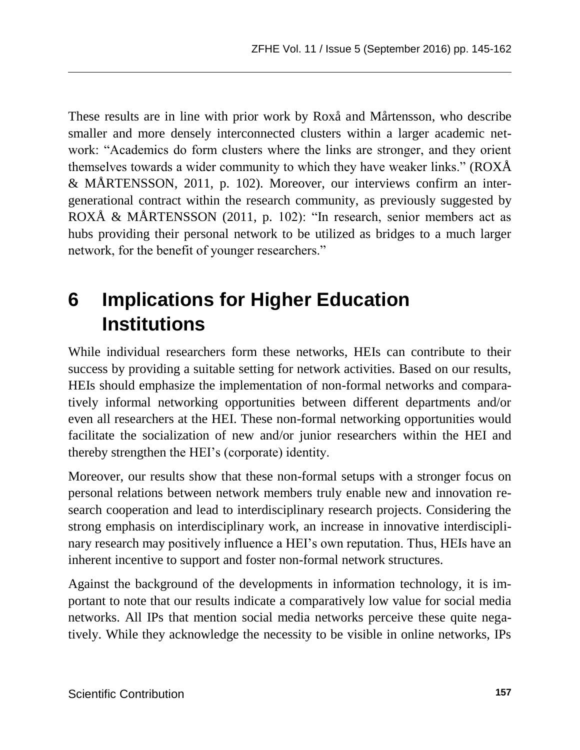These results are in line with prior work by Roxå and Mårtensson, who describe smaller and more densely interconnected clusters within a larger academic network: "Academics do form clusters where the links are stronger, and they orient themselves towards a wider community to which they have weaker links." (ROXÅ & MÅRTENSSON, 2011, p. 102). Moreover, our interviews confirm an intergenerational contract within the research community, as previously suggested by ROXÅ & MÅRTENSSON (2011, p. 102): "In research, senior members act as hubs providing their personal network to be utilized as bridges to a much larger network, for the benefit of younger researchers."

# **6 Implications for Higher Education Institutions**

While individual researchers form these networks, HEIs can contribute to their success by providing a suitable setting for network activities. Based on our results, HEIs should emphasize the implementation of non-formal networks and comparatively informal networking opportunities between different departments and/or even all researchers at the HEI. These non-formal networking opportunities would facilitate the socialization of new and/or junior researchers within the HEI and thereby strengthen the HEI's (corporate) identity.

Moreover, our results show that these non-formal setups with a stronger focus on personal relations between network members truly enable new and innovation research cooperation and lead to interdisciplinary research projects. Considering the strong emphasis on interdisciplinary work, an increase in innovative interdisciplinary research may positively influence a HEI's own reputation. Thus, HEIs have an inherent incentive to support and foster non-formal network structures.

Against the background of the developments in information technology, it is important to note that our results indicate a comparatively low value for social media networks. All IPs that mention social media networks perceive these quite negatively. While they acknowledge the necessity to be visible in online networks, IPs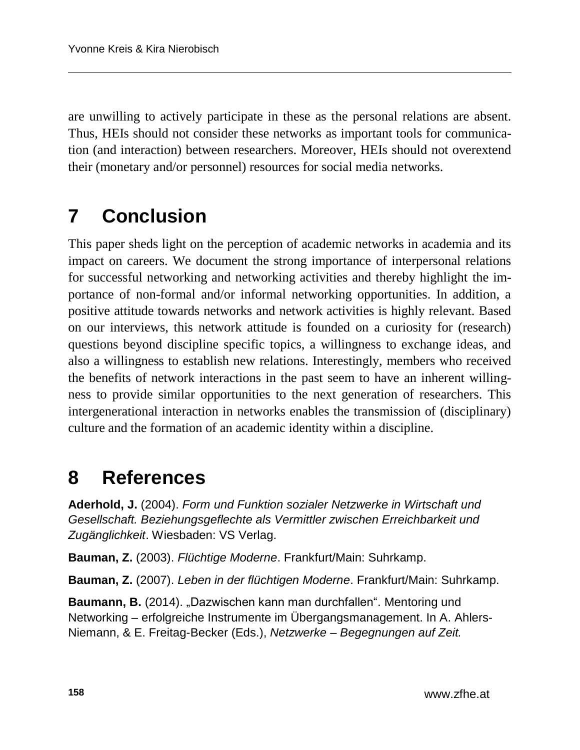are unwilling to actively participate in these as the personal relations are absent. Thus, HEIs should not consider these networks as important tools for communication (and interaction) between researchers. Moreover, HEIs should not overextend their (monetary and/or personnel) resources for social media networks.

# **7 Conclusion**

This paper sheds light on the perception of academic networks in academia and its impact on careers. We document the strong importance of interpersonal relations for successful networking and networking activities and thereby highlight the importance of non-formal and/or informal networking opportunities. In addition, a positive attitude towards networks and network activities is highly relevant. Based on our interviews, this network attitude is founded on a curiosity for (research) questions beyond discipline specific topics, a willingness to exchange ideas, and also a willingness to establish new relations. Interestingly, members who received the benefits of network interactions in the past seem to have an inherent willingness to provide similar opportunities to the next generation of researchers. This intergenerational interaction in networks enables the transmission of (disciplinary) culture and the formation of an academic identity within a discipline.

### **8 References**

**Aderhold, J.** (2004). *Form und Funktion sozialer Netzwerke in Wirtschaft und Gesellschaft. Beziehungsgeflechte als Vermittler zwischen Erreichbarkeit und Zugänglichkeit*. Wiesbaden: VS Verlag.

**Bauman, Z.** (2003). *Flüchtige Moderne*. Frankfurt/Main: Suhrkamp.

**Bauman, Z.** (2007). *Leben in der flüchtigen Moderne*. Frankfurt/Main: Suhrkamp.

**Baumann, B.** (2014). "Dazwischen kann man durchfallen". Mentoring und Networking – erfolgreiche Instrumente im Übergangsmanagement. In A. Ahlers-Niemann, & E. Freitag-Becker (Eds.), *Netzwerke – Begegnungen auf Zeit.*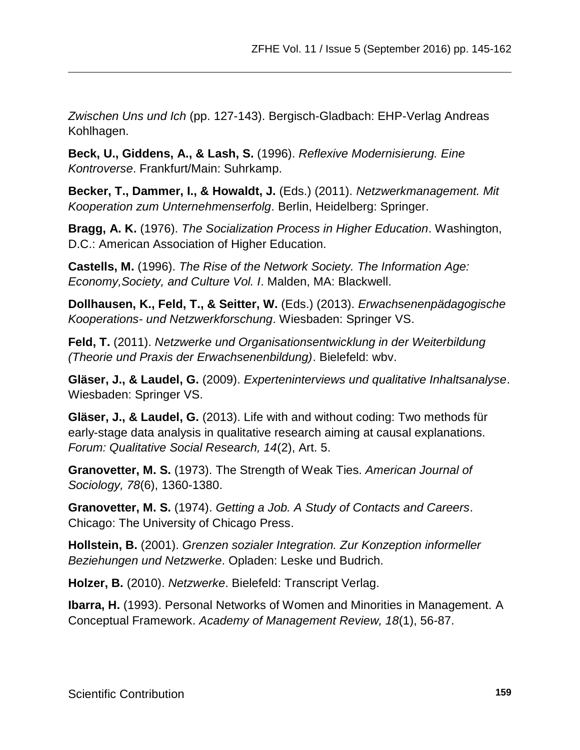*Zwischen Uns und Ich* (pp. 127-143). Bergisch-Gladbach: EHP-Verlag Andreas Kohlhagen.

**Beck, U., Giddens, A., & Lash, S.** (1996). *Reflexive Modernisierung. Eine Kontroverse*. Frankfurt/Main: Suhrkamp.

**Becker, T., Dammer, I., & Howaldt, J.** (Eds.) (2011). *Netzwerkmanagement. Mit Kooperation zum Unternehmenserfolg*. Berlin, Heidelberg: Springer.

**Bragg, A. K.** (1976). *The Socialization Process in Higher Education*. Washington, D.C.: American Association of Higher Education.

**Castells, M.** (1996). *The Rise of the Network Society. The Information Age: Economy,Society, and Culture Vol. I*. Malden, MA: Blackwell.

**Dollhausen, K., Feld, T., & Seitter, W.** (Eds.) (2013). *Erwachsenenpädagogische Kooperations- und Netzwerkforschung*. Wiesbaden: Springer VS.

**Feld, T.** (2011). *Netzwerke und Organisationsentwicklung in der Weiterbildung (Theorie und Praxis der Erwachsenenbildung)*. Bielefeld: wbv.

**Gläser, J., & Laudel, G.** (2009). *Experteninterviews und qualitative Inhaltsanalyse*. Wiesbaden: Springer VS.

**Gläser, J., & Laudel, G.** (2013). Life with and without coding: Two methods für early-stage data analysis in qualitative research aiming at causal explanations. *Forum: Qualitative Social Research, 14*(2), Art. 5.

**Granovetter, M. S.** (1973). The Strength of Weak Ties. *American Journal of Sociology, 78*(6), 1360-1380.

**Granovetter, M. S.** (1974). *Getting a Job. A Study of Contacts and Careers*. Chicago: The University of Chicago Press.

**Hollstein, B.** (2001). *Grenzen sozialer Integration. Zur Konzeption informeller Beziehungen und Netzwerke*. Opladen: Leske und Budrich.

**Holzer, B.** (2010). *Netzwerke*. Bielefeld: Transcript Verlag.

**Ibarra, H.** (1993). Personal Networks of Women and Minorities in Management. A Conceptual Framework. *Academy of Management Review, 18*(1), 56-87.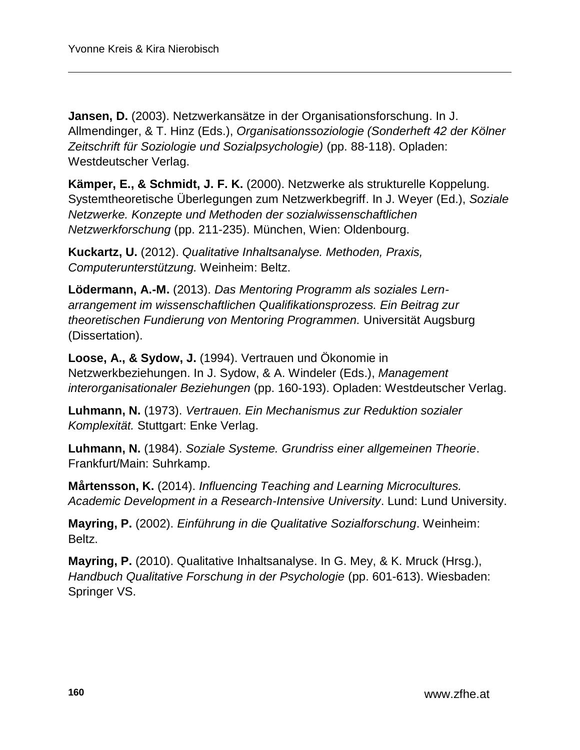**Jansen, D.** (2003). Netzwerkansätze in der Organisationsforschung. In J. Allmendinger, & T. Hinz (Eds.), *Organisationssoziologie (Sonderheft 42 der Kölner Zeitschrift für Soziologie und Sozialpsychologie)* (pp. 88-118). Opladen: Westdeutscher Verlag.

**Kämper, E., & Schmidt, J. F. K.** (2000). Netzwerke als strukturelle Koppelung. Systemtheoretische Überlegungen zum Netzwerkbegriff. In J. Weyer (Ed.), *Soziale Netzwerke. Konzepte und Methoden der sozialwissenschaftlichen Netzwerkforschung* (pp. 211-235). München, Wien: Oldenbourg.

**Kuckartz, U.** (2012). *Qualitative Inhaltsanalyse. Methoden, Praxis, Computerunterstützung.* Weinheim: Beltz.

**Lödermann, A.-M.** (2013). *Das Mentoring Programm als soziales Lernarrangement im wissenschaftlichen Qualifikationsprozess. Ein Beitrag zur theoretischen Fundierung von Mentoring Programmen.* Universität Augsburg (Dissertation).

**Loose, A., & Sydow, J.** (1994). Vertrauen und Ökonomie in Netzwerkbeziehungen. In J. Sydow, & A. Windeler (Eds.), *Management interorganisationaler Beziehungen* (pp. 160-193). Opladen: Westdeutscher Verlag.

**Luhmann, N.** (1973). *Vertrauen. Ein Mechanismus zur Reduktion sozialer Komplexität.* Stuttgart: Enke Verlag.

**Luhmann, N.** (1984). *Soziale Systeme. Grundriss einer allgemeinen Theorie*. Frankfurt/Main: Suhrkamp.

**Mårtensson, K.** (2014). *Influencing Teaching and Learning Microcultures. Academic Development in a Research-Intensive University*. Lund: Lund University.

**Mayring, P.** (2002). *Einführung in die Qualitative Sozialforschung*. Weinheim: Beltz.

**Mayring, P.** (2010). Qualitative Inhaltsanalyse. In G. Mey, & K. Mruck (Hrsg.), *Handbuch Qualitative Forschung in der Psychologie* (pp. 601-613). Wiesbaden: Springer VS.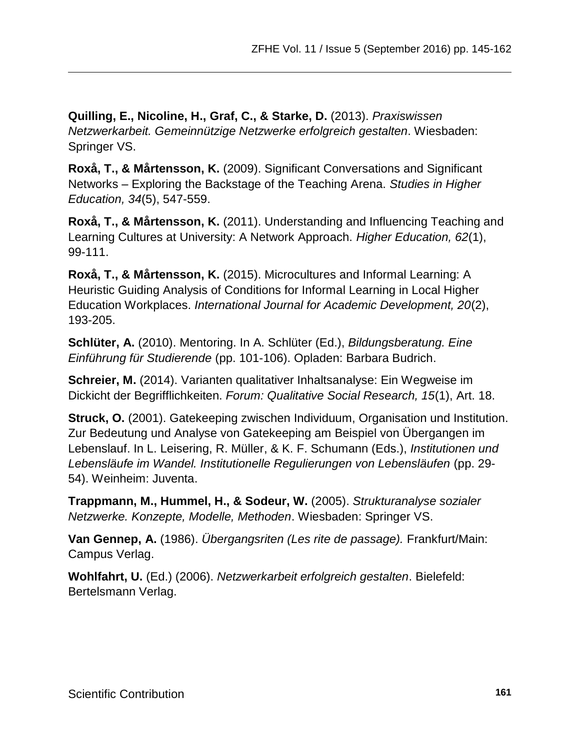**Quilling, E., Nicoline, H., Graf, C., & Starke, D.** (2013). *Praxiswissen Netzwerkarbeit. Gemeinnützige Netzwerke erfolgreich gestalten*. Wiesbaden: Springer VS.

**Roxå, T., & Mårtensson, K.** (2009). Significant Conversations and Significant Networks – Exploring the Backstage of the Teaching Arena. *Studies in Higher Education, 34*(5), 547-559.

**Roxå, T., & Mårtensson, K.** (2011). Understanding and Influencing Teaching and Learning Cultures at University: A Network Approach. *Higher Education, 62*(1), 99-111.

**Roxå, T., & Mårtensson, K.** (2015). Microcultures and Informal Learning: A Heuristic Guiding Analysis of Conditions for Informal Learning in Local Higher Education Workplaces. *International Journal for Academic Development, 20*(2), 193-205.

**Schlüter, A.** (2010). Mentoring. In A. Schlüter (Ed.), *Bildungsberatung. Eine Einführung für Studierende* (pp. 101-106). Opladen: Barbara Budrich.

**Schreier, M.** (2014). Varianten qualitativer Inhaltsanalyse: Ein Wegweise im Dickicht der Begrifflichkeiten. *Forum: Qualitative Social Research, 15*(1), Art. 18.

**Struck, O.** (2001). Gatekeeping zwischen Individuum, Organisation und Institution. Zur Bedeutung und Analyse von Gatekeeping am Beispiel von Übergangen im Lebenslauf. In L. Leisering, R. Müller, & K. F. Schumann (Eds.), *Institutionen und Lebensläufe im Wandel. Institutionelle Regulierungen von Lebensläufen* (pp. 29- 54). Weinheim: Juventa.

**Trappmann, M., Hummel, H., & Sodeur, W.** (2005). *Strukturanalyse sozialer Netzwerke. Konzepte, Modelle, Methoden*. Wiesbaden: Springer VS.

**Van Gennep, A.** (1986). *Übergangsriten (Les rite de passage).* Frankfurt/Main: Campus Verlag.

**Wohlfahrt, U.** (Ed.) (2006). *Netzwerkarbeit erfolgreich gestalten*. Bielefeld: Bertelsmann Verlag.